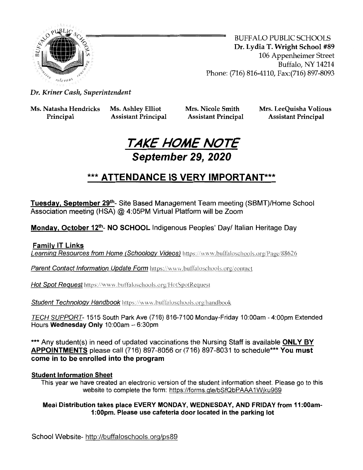

BUFFALO PUBLIC SCHOOLS Dr. Lydia T. Wright School #89 106 Appenheimer Street Buffalo, NY 14214 Phone: (716) 816-4110, Fax:(716) 897-8093

Dr. Kriner Cash, Superintendent

Ms. Natasha Hendricks Ms. Ashley Elliot

Principal Assistant Principal

Mrs. Nicole Smith Assistant Principal Mrs. LeeQuisha Volious Assistant Principal



## \*\*\* ATTENDANCE IS VERY IMPORTANT\*\*\*

Tuesday, September 29<sup>th</sup>- Site Based Management Team meeting (SBMT)/Home School Association meeting (HSA) @ 4:05PM Virtual Platform will be Zoom

Monday, October 12<sup>th</sup>- NO SCHOOL Indigenous Peoples' Day/ Italian Heritage Day

Family IT Links

Learning Resources from Home (Schoology Videos) https://www.buffaloschools.org/Page/88626

Parent Contact Information Update Form https://www.buffaloschools.org/contact

Hot Spot Request https://www.buffaloschools.org/HotSpotRequest

Student Technology Handbook https://www.buffaloschools.org/handbook

TECH SUPPORT- 1515 South Park Ave (716) 816-7100 Monday-Friday 10:00am - 4:00pm Extended Hours Wednesday Only 10:00am - 6:30pm

\*\*\* Any student(s) in need of updated vaccinations the Nursing Staff is available ONLY BY APPOINTMENTS please call (716) 897-8056 or (716) 897-8031 to schedule\*\*\* You must come in to be enrolled into the program

#### Student Information Sheet

This year we have created an electronic version of the student information sheet. Please go to this website to complete the form: https://forms.gle/bSfQbPAAA1Wiku969

#### Meal Distribution takes place EVERY MONDAY, WEDNESDAY, AND FRIDAY from 11:00am-1:00pm. Please use cafeteria door located in the parking lot

School Website- http://buffaloschools.org/ps89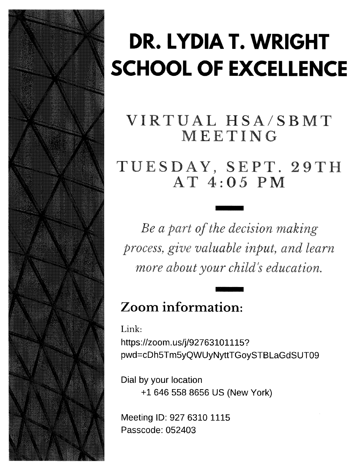

# DR. LYDIA T. WRIGHT SCHOOL OF EXCELLENCE

## VIRTUAL HSA/SBMT MEETING

TUESDAY, SEPT.29TH AT 4:05 PM

Be a part of the decision making process, give valuable input, and learn more about your child's education.

## Zoom information:

Link: https://zoom.us/j/92763101115? pwd=cDh5Tm5yQWUyNyttTGoySTBLaGdSUT09

Dial by your location +1 646 558 8656 US (New York)

Meeting ID: 927 6310 1115 Passcode: 052403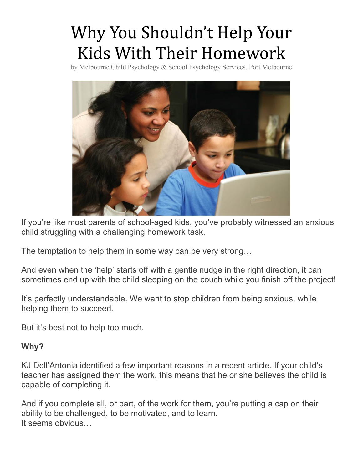## Why You Shouldn't Help Your Kids With Their Homework

by Melbourne Child Psychology & School Psychology Services, Port Melbourne



If you're like most parents of school-aged kids, you've probably witnessed an anxious child struggling with a challenging homework task.

The temptation to help them in some way can be very strong…

And even when the 'help' starts off with a gentle nudge in the right direction, it can sometimes end up with the child sleeping on the couch while you finish off the project!

It's perfectly understandable. We want to stop children from being anxious, while helping them to succeed.

But it's best not to help too much.

#### **Why?**

KJ Dell'Antonia identified a few important reasons in a recent article. If your child's teacher has assigned them the work, this means that he or she believes the child is capable of completing it.

And if you complete all, or part, of the work for them, you're putting a cap on their ability to be challenged, to be motivated, and to learn. It seems obvious…